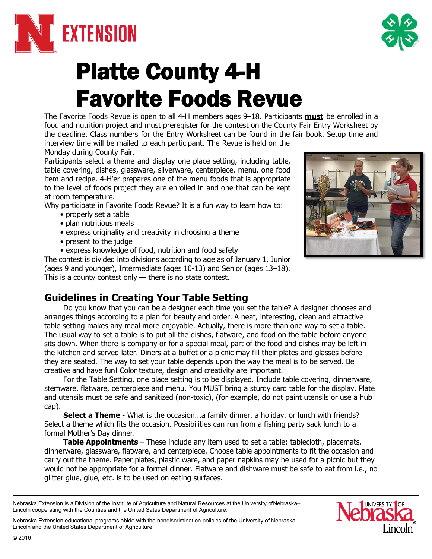

# Platte County 4-H Favorite Foods Revue

The Favorite Foods Revue is open to all 4-H members ages 9–18. Participants **must** be enrolled in a food and nutrition project and must preregister for the contest on the County Fair Entry Worksheet by the deadline. Class numbers for the Entry Worksheet can be found in the fair book. Setup time and interview time will be mailed to each participant. The Revue is held on the

Monday during County Fair.

Participants select a theme and display one place setting, including table, table covering, dishes, glassware, silverware, centerpiece, menu, one food item and recipe. 4-H'er prepares one of the menu foods that is appropriate to the level of foods project they are enrolled in and one that can be kept at room temperature.

Why participate in Favorite Foods Revue? It is a fun way to learn how to:

- properly set a table
- plan nutritious meals
- express originality and creativity in choosing a theme
- present to the judge
- express knowledge of food, nutrition and food safety

The contest is divided into divisions according to age as of January 1, Junior (ages 9 and younger), Intermediate (ages 10-13) and Senior (ages 13–18). This is a county contest only — there is no state contest.

# **Guidelines in Creating Your Table Setting**

Do you know that you can be a designer each time you set the table? A designer chooses and arranges things according to a plan for beauty and order. A neat, interesting, clean and attractive table setting makes any meal more enjoyable. Actually, there is more than one way to set a table. The usual way to set a table is to put all the dishes, flatware, and food on the table before anyone sits down. When there is company or for a special meal, part of the food and dishes may be left in the kitchen and served later. Diners at a buffet or a picnic may fill their plates and glasses before they are seated. The way to set your table depends upon the way the meal is to be served. Be creative and have fun! Color texture, design and creativity are important.

For the Table Setting, one place setting is to be displayed. Include table covering, dinnerware, stemware, flatware, centerpiece and menu. You MUST bring a sturdy card table for the display. Plate and utensils must be safe and sanitized (non-toxic), (for example, do not paint utensils or use a hub cap).

**Select a Theme** - What is the occasion...a family dinner, a holiday, or lunch with friends? Select a theme which fits the occasion. Possibilities can run from a fishing party sack lunch to a formal Mother's Day dinner.

**Table Appointments** – These include any item used to set a table: tablecloth, placemats, dinnerware, glassware, flatware, and centerpiece. Choose table appointments to fit the occasion and carry out the theme. Paper plates, plastic ware, and paper napkins may be used for a picnic but they would not be appropriate for a formal dinner. Flatware and dishware must be safe to eat from i.e., no glitter glue, glue, etc. is to be used on eating surfaces.

Nebraska Extension educational programs abide with the nondiscrimination policies of the University of Nebraska– Lincoln and the United States Department of Agriculture.





Nebraska Extension is a Division of the Institute of Agriculture and Natural Resources at the University ofNebraska– Lincoln cooperating with the Counties and the United Sates Department of Agriculture.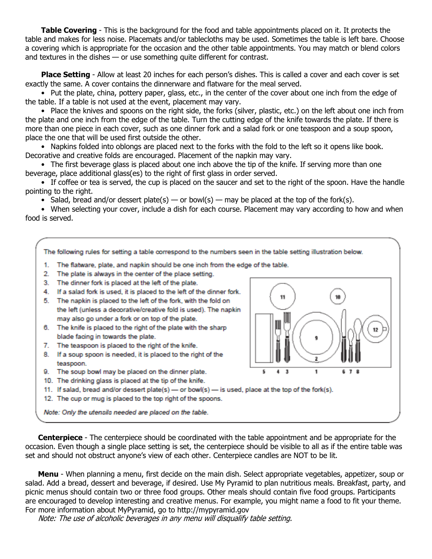**Table Covering** - This is the background for the food and table appointments placed on it. It protects the table and makes for less noise. Placemats and/or tablecloths may be used. Sometimes the table is left bare. Choose a covering which is appropriate for the occasion and the other table appointments. You may match or blend colors and textures in the dishes — or use something quite different for contrast.

**Place Setting** - Allow at least 20 inches for each person's dishes. This is called a cover and each cover is set exactly the same. A cover contains the dinnerware and flatware for the meal served.

• Put the plate, china, pottery paper, glass, etc., in the center of the cover about one inch from the edge of the table. If a table is not used at the event, placement may vary.

• Place the knives and spoons on the right side, the forks (silver, plastic, etc.) on the left about one inch from the plate and one inch from the edge of the table. Turn the cutting edge of the knife towards the plate. If there is more than one piece in each cover, such as one dinner fork and a salad fork or one teaspoon and a soup spoon, place the one that will be used first outside the other.

• Napkins folded into oblongs are placed next to the forks with the fold to the left so it opens like book. Decorative and creative folds are encouraged. Placement of the napkin may vary.

• The first beverage glass is placed about one inch above the tip of the knife. If serving more than one beverage, place additional glass(es) to the right of first glass in order served.

• If coffee or tea is served, the cup is placed on the saucer and set to the right of the spoon. Have the handle pointing to the right.

• Salad, bread and/or dessert plate(s) — or bowl(s) — may be placed at the top of the fork(s).

• When selecting your cover, include a dish for each course. Placement may vary according to how and when food is served.



**Centerpiece** - The centerpiece should be coordinated with the table appointment and be appropriate for the occasion. Even though a single place setting is set, the centerpiece should be visible to all as if the entire table was set and should not obstruct anyone's view of each other. Centerpiece candles are NOT to be lit.

**Menu** - When planning a menu, first decide on the main dish. Select appropriate vegetables, appetizer, soup or salad. Add a bread, dessert and beverage, if desired. Use My Pyramid to plan nutritious meals. Breakfast, party, and picnic menus should contain two or three food groups. Other meals should contain five food groups. Participants are encouraged to develop interesting and creative menus. For example, you might name a food to fit your theme. For more information about MyPyramid, go to [http://mypyramid.gov](http://mypyramid.gov/)

Note: The use of alcoholic beverages in any menu will disqualify table setting.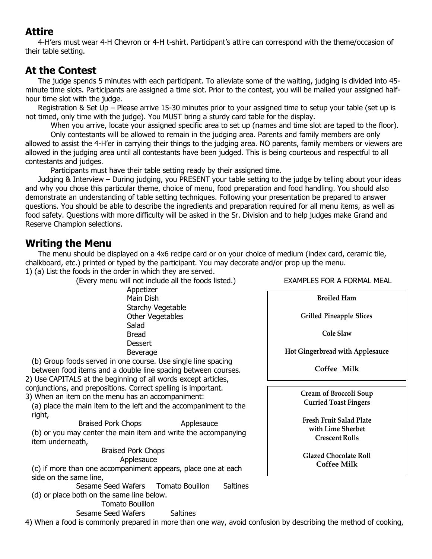# **Attire**

4-H'ers must wear 4-H Chevron or 4-H t-shirt. Participant's attire can correspond with the theme/occasion of their table setting.

# **At the Contest**

The judge spends 5 minutes with each participant. To alleviate some of the waiting, judging is divided into 45 minute time slots. Participants are assigned a time slot. Prior to the contest, you will be mailed your assigned halfhour time slot with the judge.

Registration & Set Up – Please arrive 15-30 minutes prior to your assigned time to setup your table (set up is not timed, only time with the judge). You MUST bring a sturdy card table for the display.

When you arrive, locate your assigned specific area to set up (names and time slot are taped to the floor).

Only contestants will be allowed to remain in the judging area. Parents and family members are only allowed to assist the 4-H'er in carrying their things to the judging area. NO parents, family members or viewers are allowed in the judging area until all contestants have been judged. This is being courteous and respectful to all contestants and judges.

Participants must have their table setting ready by their assigned time.

Judging & Interview – During judging, you PRESENT your table setting to the judge by telling about your ideas and why you chose this particular theme, choice of menu, food preparation and food handling. You should also demonstrate an understanding of table setting techniques. Following your presentation be prepared to answer questions. You should be able to describe the ingredients and preparation required for all menu items, as well as food safety. Questions with more difficulty will be asked in the Sr. Division and to help judges make Grand and Reserve Champion selections.

## **Writing the Menu**

The menu should be displayed on a 4x6 recipe card or on your choice of medium (index card, ceramic tile, chalkboard, etc.) printed or typed by the participant. You may decorate and/or prop up the menu.

1) (a) List the foods in the order in which they are served.

(Every menu will not include all the foods listed.) EXAMPLES FOR A FORMAL MEAL

Appetizer Main Dish Starchy Vegetable Other Vegetables Salad Bread **Dessert** Beverage

(b) Group foods served in one course. Use single line spacing between food items and a double line spacing between courses. 2) Use CAPITALS at the beginning of all words except articles, conjunctions, and prepositions. Correct spelling is important. 3) When an item on the menu has an accompaniment:

(a) place the main item to the left and the accompaniment to the right,

Braised Pork Chops **Applesauce** (b) or you may center the main item and write the accompanying item underneath,

Braised Pork Chops Applesauce

(c) if more than one accompaniment appears, place one at each side on the same line,

Sesame Seed Wafers Tomato Bouillon Saltines (d) or place both on the same line below.

Tomato Bouillon

Sesame Seed Wafers Saltines

4) When a food is commonly prepared in more than one way, avoid confusion by describing the method of cooking,

**Broiled Ham**

**Grilled Pineapple Slices**

**Cole Slaw**

**Hot Gingerbread with Applesauce**

**Coffee Milk**

**Cream of Broccoli Soup Curried Toast Fingers**

**Fresh Fruit Salad Plate with Lime Sherbet Crescent Rolls**

**Glazed Chocolate Roll Coffee Milk**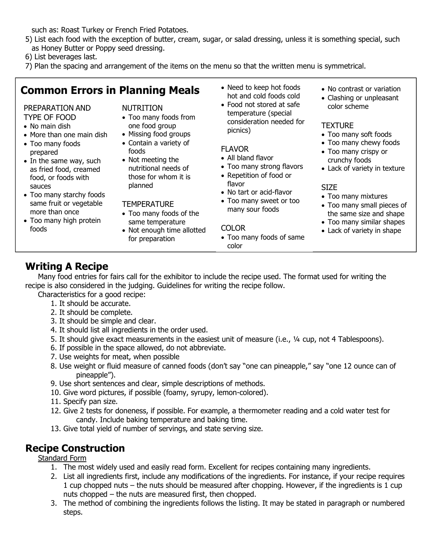such as: Roast Turkey or French Fried Potatoes.

5) List each food with the exception of butter, cream, sugar, or salad dressing, unless it is something special, such as Honey Butter or Poppy seed dressing.

6) List beverages last.

7) Plan the spacing and arrangement of the items on the menu so that the written menu is symmetrical.

# **Common Errors in Planning Meals**

#### PREPARATION AND TYPE OF FOOD

- No main dish
- More than one main dish
- Too many foods prepared
- In the same way, such as fried food, creamed food, or foods with sauces
- Too many starchy foods same fruit or vegetable more than once
- Too many high protein foods

#### NUTRITION

- Too many foods from one food group
- Missing food groups • Contain a variety of
- foods • Not meeting the
- nutritional needs of those for whom it is planned

## **TEMPERATURE**

- Too many foods of the same temperature
- Not enough time allotted for preparation
- Need to keep hot foods hot and cold foods cold
- Food not stored at safe temperature (special consideration needed for picnics)

## FLAVOR

- All bland flavor
- Too many strong flavors
- Repetition of food or flavor
- No tart or acid-flavor
- Too many sweet or too many sour foods

## COLOR

• Too many foods of same color

- No contrast or variation
- Clashing or unpleasant color scheme

## **TEXTURE**

- Too many soft foods
- Too many chewy foods
- Too many crispy or crunchy foods
- Lack of variety in texture

## SIZE

- Too many mixtures
- Too many small pieces of the same size and shape
- Too many similar shapes
- Lack of variety in shape

# **Writing A Recipe**

Many food entries for fairs call for the exhibitor to include the recipe used. The format used for writing the recipe is also considered in the judging. Guidelines for writing the recipe follow.

Characteristics for a good recipe:

- 1. It should be accurate.
- 2. It should be complete.
- 3. It should be simple and clear.
- 4. It should list all ingredients in the order used.
- 5. It should give exact measurements in the easiest unit of measure (i.e., ¼ cup, not 4 Tablespoons).
- 6. If possible in the space allowed, do not abbreviate.
- 7. Use weights for meat, when possible
- 8. Use weight or fluid measure of canned foods (don't say "one can pineapple," say "one 12 ounce can of pineapple").
- 9. Use short sentences and clear, simple descriptions of methods.
- 10. Give word pictures, if possible (foamy, syrupy, lemon-colored).
- 11. Specify pan size.
- 12. Give 2 tests for doneness, if possible. For example, a thermometer reading and a cold water test for candy. Include baking temperature and baking time.
- 13. Give total yield of number of servings, and state serving size.

# **Recipe Construction**

## Standard Form

- 1. The most widely used and easily read form. Excellent for recipes containing many ingredients.
- 2. List all ingredients first, include any modifications of the ingredients. For instance, if your recipe requires 1 cup chopped nuts – the nuts should be measured after chopping. However, if the ingredients is 1 cup nuts chopped – the nuts are measured first, then chopped.
- 3. The method of combining the ingredients follows the listing. It may be stated in paragraph or numbered steps.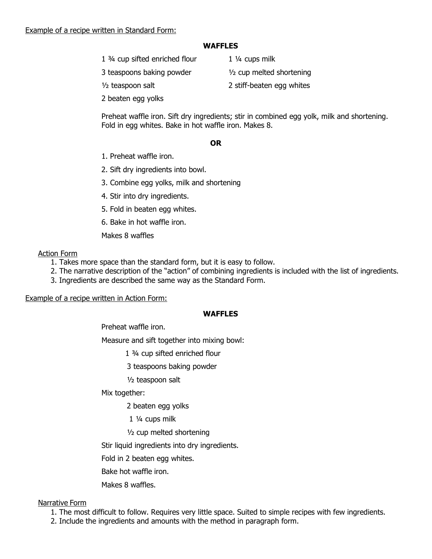## **WAFFLES**

1 <sup>3</sup>/<sub>4</sub> cup sifted enriched flour 1 <sup>1</sup>/<sub>4</sub> cups milk

3 teaspoons baking powder ½ cup melted shortening

- <sup>1/2</sup> teaspoon salt 2 stiff-beaten egg whites
- 2 beaten egg yolks

Preheat waffle iron. Sift dry ingredients; stir in combined egg yolk, milk and shortening. Fold in egg whites. Bake in hot waffle iron. Makes 8.

## **OR**

- 1. Preheat waffle iron.
- 2. Sift dry ingredients into bowl.
- 3. Combine egg yolks, milk and shortening
- 4. Stir into dry ingredients.
- 5. Fold in beaten egg whites.
- 6. Bake in hot waffle iron.
- Makes 8 waffles

## Action Form

- 1. Takes more space than the standard form, but it is easy to follow.
- 2. The narrative description of the "action" of combining ingredients is included with the list of ingredients.
- 3. Ingredients are described the same way as the Standard Form.

## Example of a recipe written in Action Form:

## **WAFFLES**

Preheat waffle iron.

Measure and sift together into mixing bowl:

- 1 ¾ cup sifted enriched flour
- 3 teaspoons baking powder
- ½ teaspoon salt

Mix together:

2 beaten egg yolks

1 ¼ cups milk

½ cup melted shortening

Stir liquid ingredients into dry ingredients.

Fold in 2 beaten egg whites.

Bake hot waffle iron.

Makes 8 waffles.

## Narrative Form

- 1. The most difficult to follow. Requires very little space. Suited to simple recipes with few ingredients.
- 2. Include the ingredients and amounts with the method in paragraph form.